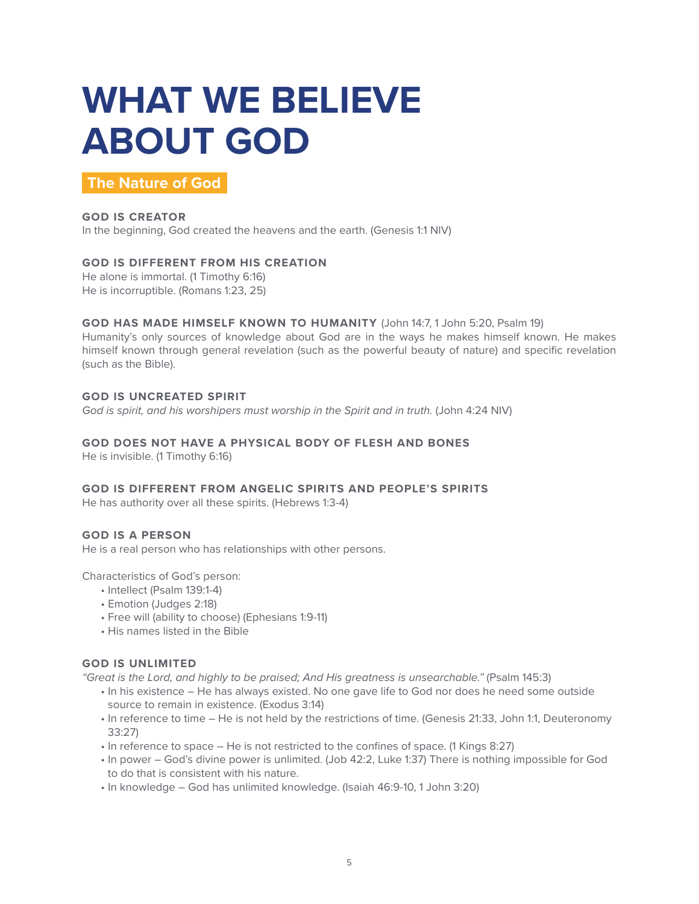# **WHAT WE BELIEVE ABOUT GOD**

**The Nature of God**

# **GOD IS CREATOR**

In the beginning, God created the heavens and the earth. (Genesis 1:1 NIV)

# **GOD IS DIFFERENT FROM HIS CREATION**

He alone is immortal. (1 Timothy 6:16) He is incorruptible. (Romans 1:23, 25)

# **GOD HAS MADE HIMSELF KNOWN TO HUMANITY** (John 14:7, 1 John 5:20, Psalm 19)

Humanity's only sources of knowledge about God are in the ways he makes himself known. He makes himself known through general revelation (such as the powerful beauty of nature) and specific revelation (such as the Bible).

# **GOD IS UNCREATED SPIRIT**

God is spirit, and his worshipers must worship in the Spirit and in truth. (John 4:24 NIV)

# **GOD DOES NOT HAVE A PHYSICAL BODY OF FLESH AND BONES**

He is invisible. (1 Timothy 6:16)

# **GOD IS DIFFERENT FROM ANGELIC SPIRITS AND PEOPLE'S SPIRITS**

He has authority over all these spirits. (Hebrews 1:3-4)

# **GOD IS A PERSON**

He is a real person who has relationships with other persons.

Characteristics of God's person:

- Intellect (Psalm 139:1-4)
- Emotion (Judges 2:18)
- Free will (ability to choose) (Ephesians 1:9-11)
- His names listed in the Bible

# **GOD IS UNLIMITED**

*"Great is the Lord, and highly to be praised; And His greatness is unsearchable."* (Psalm 145:3)

- In his existence He has always existed. No one gave life to God nor does he need some outside source to remain in existence. (Exodus 3:14)
- In reference to time He is not held by the restrictions of time. (Genesis 21:33, John 1:1, Deuteronomy 33:27)
- In reference to space He is not restricted to the confines of space. (1 Kings 8:27)
- In power God's divine power is unlimited. (Job 42:2, Luke 1:37) There is nothing impossible for God to do that is consistent with his nature.
- In knowledge God has unlimited knowledge. (Isaiah 46:9-10, 1 John 3:20)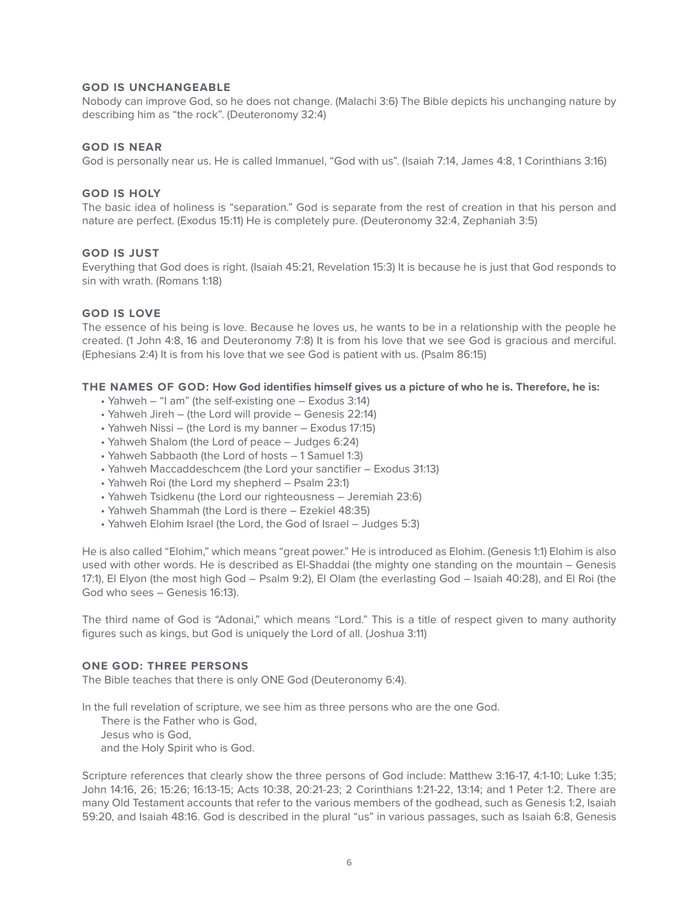# **GOD IS UNCHANGEABLE**

Nobody can improve God, so he does not change. (Malachi 3:6) The Bible depicts his unchanging nature by describing him as "the rock". (Deuteronomy 32:4)

#### **GOD IS NEAR**

God is personally near us. He is called Immanuel, "God with us". (Isaiah 7:14, James 4:8, 1 Corinthians 3:16)

#### **GOD IS HOLY**

The basic idea of holiness is "separation." God is separate from the rest of creation in that his person and nature are perfect. (Exodus 15:11) He is completely pure. (Deuteronomy 32:4, Zephaniah 3:5)

#### **GOD IS JUST**

Everything that God does is right. (Isaiah 45:21, Revelation 15:3) It is because he is just that God responds to sin with wrath. (Romans 1:18)

#### **GOD IS LOVE**

The essence of his being is love. Because he loves us, he wants to be in a relationship with the people he created. (1 John 4:8, 16 and Deuteronomy 7:8) It is from his love that we see God is gracious and merciful. (Ephesians 2:4) It is from his love that we see God is patient with us. (Psalm 86:15)

#### **THE NAMES OF GOD: How God identifies himself gives us a picture of who he is. Therefore, he is:**

- Yahweh "I am" (the self-existing one Exodus 3:14)
- Yahweh Jireh (the Lord will provide Genesis 22:14)
- Yahweh Nissi (the Lord is my banner Exodus 17:15)
- Yahweh Shalom (the Lord of peace Judges 6:24)
- Yahweh Sabbaoth (the Lord of hosts 1 Samuel 1:3)
- Yahweh Maccaddeschcem (the Lord your sanctifier Exodus 31:13)
- Yahweh Roi (the Lord my shepherd Psalm 23:1)
- Yahweh Tsidkenu (the Lord our righteousness Jeremiah 23:6)
- Yahweh Shammah (the Lord is there Ezekiel 48:35)
- Yahweh Elohim Israel (the Lord, the God of Israel Judges 5:3)

He is also called "Elohim," which means "great power." He is introduced as Elohim. (Genesis 1:1) Elohim is also used with other words. He is described as El-Shaddai (the mighty one standing on the mountain – Genesis 17:1), El Elyon (the most high God – Psalm 9:2), El Olam (the everlasting God – Isaiah 40:28), and El Roi (the God who sees – Genesis 16:13).

The third name of God is "Adonai," which means "Lord." This is a title of respect given to many authority figures such as kings, but God is uniquely the Lord of all. (Joshua 3:11)

#### **ONE GOD: THREE PERSONS**

The Bible teaches that there is only ONE God (Deuteronomy 6:4).

In the full revelation of scripture, we see him as three persons who are the one God.

There is the Father who is God,

Jesus who is God,

and the Holy Spirit who is God.

Scripture references that clearly show the three persons of God include: Matthew 3:16-17, 4:1-10; Luke 1:35; John 14:16, 26; 15:26; 16:13-15; Acts 10:38, 20:21-23; 2 Corinthians 1:21-22, 13:14; and 1 Peter 1:2. There are many Old Testament accounts that refer to the various members of the godhead, such as Genesis 1:2, Isaiah 59:20, and Isaiah 48:16. God is described in the plural "us" in various passages, such as Isaiah 6:8, Genesis